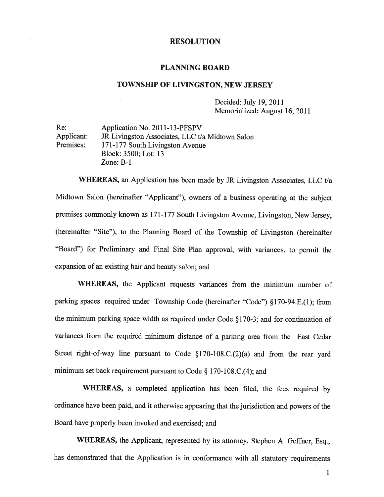#### RESOLUTION

#### PLANNING BOARD

### TOWNSHIP OF LIVINGSTON, NEW JERSEY

Decided: July 19, 2011 Memorialized: August 16, 2011

Re: Application No. 2011-13-PFSPV Applicant: JR Livingston Associates, LLC t/a Midtown Salon Premises: 171-177 South Livingston Avenue Block: 3500; Lot: 13 Zone: B-i

WHEREAS, an Application has been made by JR Livingston Associates, LLC t/a Midtown Salon (hereinafter "Applicant"), owners of <sup>a</sup> business operating at the subject premises commonly known as <sup>17</sup> 1-177 South Livingston Avenue, Livingston, New Jersey, (hereinafter "Site"), to the Planning Board of the Township of Livingston (hereinafter 'Board") for Preliminary and Final Site Plan approval, with variances, to permit the expansion of an existing hair and beauty salon; and

WHEREAS, the Applicant requests variances from the minimum number of parking spaces required under Township Code (hereinafter "Code") §1 70-94.E.( 1); from the minimum parking space width as required under Code § 170-3; and for continuation of variances from the required minimum distance of <sup>a</sup> parking area from the East Cedar Street right-of-way line pursuan<sup>t</sup> to Code §170-108.C.(2)(a) and from the rear yar<sup>d</sup> minimum set back requirement pursuan<sup>t</sup> to Code § 170-108.C.(4); and

WHEREAS, <sup>a</sup> completed application has been filed, the fees required by ordinance have been paid, and it otherwise appearing that the jurisdiction and powers of the Board have properly been invoked and exercised; and

WHEREAS, the Applicant, represented by its attorney, Stephen A. Geffner, Esq., has demonstrated that the Application is in conformance with all statutory requirements

 $\mathbf{1}$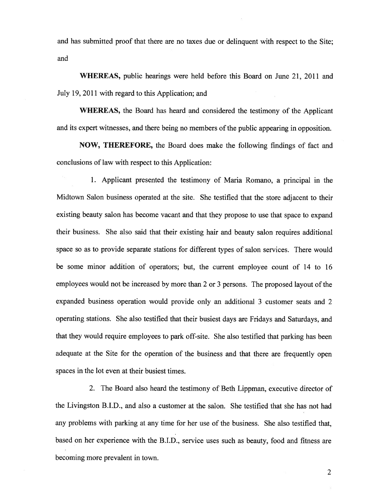and has submitted proof that there are no taxes due or delinquent with respec<sup>t</sup> to the Site; and

WHEREAS, public hearings were held before this Board on June 21, 2011 and July 19, 2011 with regard to this Application; and

WHEREAS, the Board has heard and considered the testimony of the Applicant and its exper<sup>t</sup> witnesses, and there being no members of the public appearing in opposition.

NOW, THEREFORE, the Board does make the following findings of fact and conclusions of law with respec<sup>t</sup> to this Application:

1. Applicant presented the testimony of Maria Romano, <sup>a</sup> principal in the Midtown Salon business operated at the site. She testified that the store adjacent to their existing beauty salon has become vacant and that they propose to use that space to expan<sup>d</sup> their business. She also said that their existing hair and beauty salon requires additional space so as to provide separate stations for different types of salon services. There would be some minor addition of operators; but, the current employee count of <sup>14</sup> to 16 employees would not be increased by more than <sup>2</sup> or 3 persons. The proposed layout of the expanded business operation would provide only an additional 3 customer seats and 2 operating stations. She also testified that their busiest days are Fridays and Saturdays, and that they would require employees to par<sup>k</sup> off-site. She also testified that parking has been adequate at the Site for the operation of the business and that there are frequently open spaces in the lot even at their busiest times.

2. The Board also heard the testimony of Beth Lippman, executive director of the Livingston B.I.D., and also <sup>a</sup> customer at the salon. She testified that she has not had any problems with parking at any time for her use of the business. She also testified that, based on her experience with the B.I.D., service uses such as beauty, food and fitness are becoming more prevalent in town.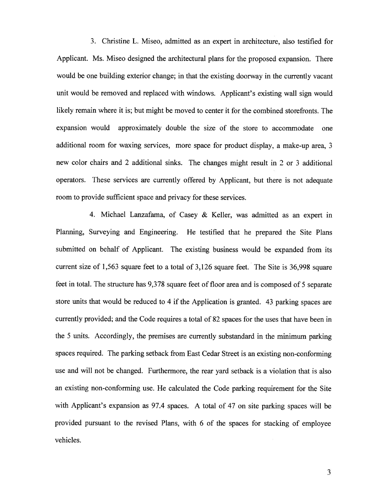3. Christine L. Miseo, admitted as an exper<sup>t</sup> in architecture, also testified for Applicant. Ms. Miseo designed the architectural <sup>p</sup>lans for the proposed expansion. There would be one building exterior change; in that the existing doorway in the currently vacant unit would be removed and replaced with windows. Applicant's existing wall sign would likely remain where it is; but might be moved to center it for the combined storefronts. The expansion would approximately double the size of the store to accommodate one additional room for waxing services, more space for product display, <sup>a</sup> make-up area, 3 new color chairs and <sup>2</sup> additional sinks. The changes might result in <sup>2</sup> or 3 additional operators. These services are currently offered by Applicant, but there is not adequate room to provide sufficient space and privacy for these services.

4. Michael Lanzafama. of Casey & Keller, was admitted as an exper<sup>t</sup> in Planning, Surveying and Engineering. He testified that he prepared the Site Plans submitted on behalf of Applicant. The existing business would be expanded from its current size of 1,563 square feet to <sup>a</sup> total of 3,126 square feet. The Site is 36,998 square feet in total. The structure has 9,378 square feet of floor area and is composed of 5 separate store units that would be reduced to <sup>4</sup> if the Application is granted. <sup>43</sup> parking spaces are currently provided; and the Code requires <sup>a</sup> total of 82 spaces for the uses that have been in the <sup>5</sup> units. Accordingly, the premises are currently substandard in the minimum parking spaces required. The parking setback from East Cedar Street is an existing non-conforming use and will not be changed. Furthermore, the rear yard setback is <sup>a</sup> violation that is also an existing non-conforming use. He calculated the Code parking requirement for the Site with Applicant's expansion as 97.4 spaces. <sup>A</sup> total of <sup>47</sup> on site parking spaces will be provided pursuan<sup>t</sup> to the revised Plans, with <sup>6</sup> of the spaces for stacking of employee vehicles.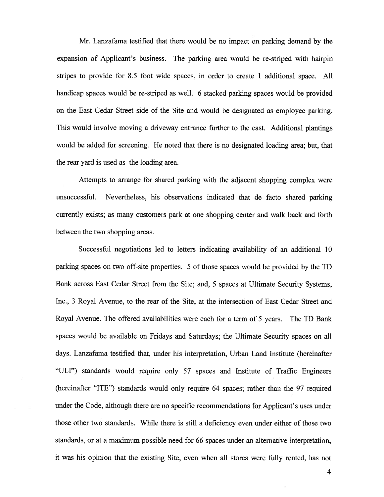Mr. Lanzafama testified that there would be no impact on parking demand by the expansion of Applicant's business. The parking area would be re-striped with hairpin stripes to provide for 8.5 foot wide spaces, in order to create I additional space. All handicap spaces would be re-striped as well. 6 stacked parking spaces would be provided on the East Cedar Street side of the Site and would be designated as employee parking. This would involve moving <sup>a</sup> driveway entrance further to the east. Additional plantings would be added for screening. He noted that there is no designated loading area; but, that the rear yard is used as the loading area.

Attempts to arrange for shared parking with the adjacent shopping complex were unsuccessful. Nevertheless, his observations indicated that de facto shared parking currently exists; as many customers park at one shopping center and walk back and forth between the two shopping areas.

Successful negotiations led to letters indicating availability of an additional 10 parking spaces on two off-site properties. 5 of those spaces would be provided by the TD Bank across East Cedar Street from the Site; and, 5 spaces at Ultimate Security Systems, Inc., 3 Royal Avenue, to the rear of the Site, at the intersection of East Cedar Street and Royal Avenue. The offered availabilities were each for <sup>a</sup> term of 5 years. The TD Bank spaces would be available on Fridays and Saturdays; the Ultimate Security spaces on all days. Lanzafama testified that, under his interpretation, Urban Land Institute (hereinafter "ULI") standards would require only 57 spaces and Institute of Traffic Engineers (hereinafter "ITE") standards would only require 64 spaces; rather than the 97 required under the Code, although there are no specific recommendations for Applicant's uses under those other two standards. While there is still <sup>a</sup> deficiency even under either of those two standards, or at <sup>a</sup> maximum possible need for <sup>66</sup> spaces under an alternative interpretation, it was his opinion that the existing Site, even when all stores were fully rented, has not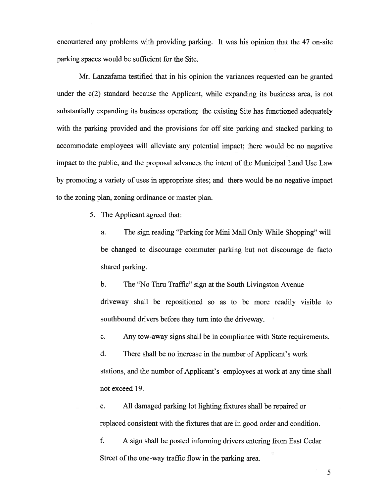encountered any problems with providing parking. It was his opinion that the 47 on-site parking spaces would be sufficient for the Site.

Mr. Lanzafama testified that in his opinion the variances requested can be granted under the c(2) standard because the Applicant, while expanding its business area, is not substantially expanding its business operation; the existing Site has functioned adequately with the parking provided and the provisions for off site parking and stacked parking to accommodate employees will alleviate any potential impact; there would be no negative impact to the public, and the proposal advances the intent of the Municipal Land Use Law by promoting <sup>a</sup> variety of uses in appropriate sites; and there would be no negative impact to the zoning plan, zoning ordinance or master plan.

5. The Applicant agreed that:

a. The sign reading "Parking for Mini Mall Only While Shopping" will be changed to discourage commuter parking but not discourage de facto shared parking.

b. The "No Thru Traffic" sign at the South Livingston Avenue driveway shall be repositioned so as to be more readily visible to southbound drivers before they turn into the driveway.

c. Any tow-away signs shall be in compliance with State requirements.

d. There shall be no increase in the number of Applicant's work stations, and the number of Applicant's employees at work at any time shall not exceed 19.

e. All damaged parking lot lighting fixtures shall be repaired or replaced consistent with the fixtures that are in good order and condition.

f. A sign shall be posted informing drivers entering from East Cedar Street of the one-way traffic flow in the parking area.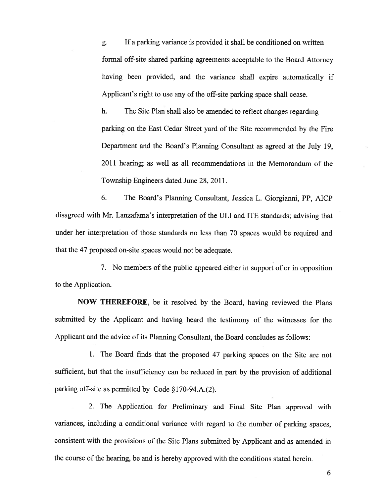g. If <sup>a</sup> parking variance is provided it shall be conditioned on written formal off-site shared parking agreements acceptable to the Board Attorney having been provided, and the variance shall expire automatically if Applicant's right to use any of the off-site parking space shall cease.

h. The Site Plan shall also be amended to reflect changes regarding parking on the East Cedar Street yard of the Site recommended by the Fire Department and the Board's Planning Consultant as agreed at the July 19, 2011 hearing; as well as all recommendations in the Memorandum of the Township Engineers dated June 28, 2011.

6. The Board's Planning Consultant, Jessica L. Giorgianni, PP, AICP disagreed with Mr. Lanzafama's interpretation of the ULI and ITE standards; advising that under her interpretation of those standards no less than <sup>70</sup> spaces would be required and that the 47 proposed on-site spaces would not be adequate.

7. No members of the public appeared either in suppor<sup>t</sup> of or in opposition to the Application.

NOW THEREFORE, be it resolved by the Board, having reviewed the Plans submitted by the Applicant and having heard the testimony of the witnesses for the Applicant and the advice of its Planning Consultant, the Board concludes as follows:

1. The Board finds that the proposed 47 parking spaces on the Site are not sufficient, but that the insufficiency can be reduced in par<sup>t</sup> by the provision of additional parking off-site as permitted by Code §170-94.A.(2).

2. The Application for Preliminary and Final Site Plan approva<sup>l</sup> with variances, including <sup>a</sup> conditional variance with regar<sup>d</sup> to the number of parking spaces, consistent with the provisions of the Site Plans submitted by Applicant and as amended in the course of the hearing, be and is hereby approved with the conditions stated herein.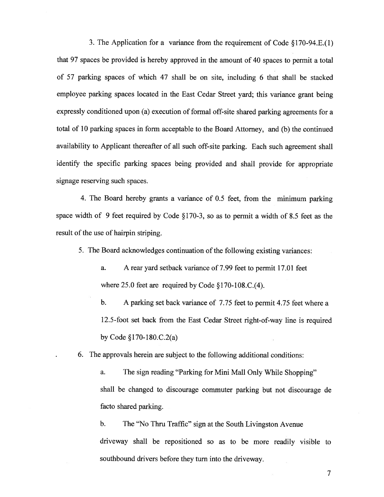3. The Application for <sup>a</sup> variance from the requirement of Code §170-94.E.(1) that 97 spaces be provided is hereby approved in the amount of 40 spaces to permit <sup>a</sup> total of 57 parking spaces of which 47 shall be on site, including <sup>6</sup> that shall be stacked employee parking spaces located in the East Cedar Street yard; this variance gran<sup>t</sup> being expressly conditioned upon (a) execution of formal off-site shared parking agreements for <sup>a</sup> total of 10 parking spaces in form acceptable to the Board Attorney, and (b) the continued availability to Applicant thereafter of all such off-site parking. Each such agreemen<sup>t</sup> shall identify the specific parking spaces being provided and shall provide for appropriate signage reserving such spaces.

4. The Board hereby grants <sup>a</sup> variance of 0.5 feet, from the minimum parking space width of 9 feet required by Code §170-3, so as to permit <sup>a</sup> width of 8.5 feet as the result of the use of hairpin striping.

5. The Board acknowledges continuation of the following existing variances:

- a. A rear yard setback variance of 7.99 feet to permit 17.01 feet where 25.0 feet are required by Code §170-108.C.(4).
- b. A parking set back variance of 7.75 feet to permit 4.75 feet where <sup>a</sup> 12.5-foot set back from the East Cedar Street right-of-way line is required by Code §170-180.C.2(a)

6. The approvals herein are subject to the following additional conditions:

a. The sign reading "Parking for Mini Mall Only While Shopping" shall be changed to discourage commuter parking but not discourage de facto shared parking.

b. The "No Thru Traffic" sign at the South Livingston Avenue driveway shall be repositioned so as to be more readily visible to southbound drivers before they turn into the driveway.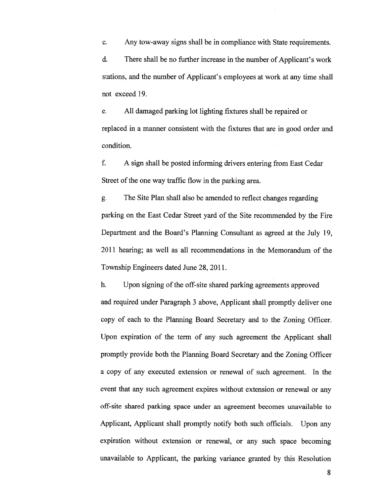c. Any tow-away signs shall be in compliance with State requirements. d. There shall be no further increase in the number of Applicant's work stations, and the number of Applicant's employees at work at any time shall not exceed 19.

e. All damaged parking lot lighting fixtures shall be repaired or replaced in <sup>a</sup> manner consistent with the fixtures that are in good order and condition.

f. A sign shall be posted informing drivers entering from East Cedar Street of the one way traffic flow in the parking area.

g. The Site Plan shall also be amended to reflect changes regarding parking on the East Cedar Street yar<sup>d</sup> of the Site recommended by the Fire Department and the Board's Planning Consultant as agreed at the July 19, 2011 hearing; as well as all recommendations in the Memorandum of the Township Engineers dated June 28, 2011.

h. Upon signing of the off-site shared parking agreements approved and required under Paragraph 3 above, Applicant shall promptly deliver one copy of each to the Planning Board Secretary and to the Zoning Officer. Upon expiration of the term of any such agreemen<sup>t</sup> the Applicant shall promptly provide both the Planning Board Secretary and the Zoning Officer <sup>a</sup> copy of any executed extension or renewal of such agreement. In the event that any such agreemen<sup>t</sup> expires without extension or renewal or any off-site shared parking space under an agreemen<sup>t</sup> becomes unavailable to Applicant, Applicant shall promptly notify both such officials. Upon any expiration without extension or renewal, or any such space becoming unavailable to Applicant, the parking variance granted by this Resolution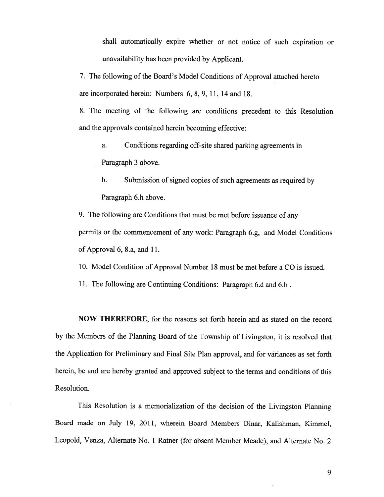shall automatically expire whether or not notice of such expiration or unavailability has been provided by Applicant.

7. The following of the Board's Model Conditions of Approval attached hereto are incorporated herein: Numbers 6, 8, 9, 11, 14 and 18.

8. The meeting of the following are conditions precedent to this Resolution and the approvals contained herein becoming effective:

a. Conditions regarding off-site shared parking agreements in Paragraph 3 above.

b. Submission of signed copies of such agreements as required by Paragraph 6.h above.

9. The following are Conditions that must be met before issuance of any permits or the commencement of any work: Paragraph 6.g, and Model Conditions of Approval 6, 8.a, and 11.

10. Model Condition of Approval Number 18 must be met before <sup>a</sup> CO is issued.

11. The following are Continuing Conditions: Paragraph 6.d and 6.h.

NOW THEREFORE, for the reasons set forth herein and as stated on the record by the Members of the Planning Board of the Township of Livingston, it is resolved that the Application for Preliminary and Final Site Plan approval, and for variances as set forth herein, be and are hereby granted and approved subject to the terms and conditions of this Resolution.

This Resolution is <sup>a</sup> memorialization of the decision of the Livingston Planning Board made on July 19, 2011, wherein Board Members Dinar, Kalishman, Kimmel, Leopold, Venza, Alternate No. <sup>1</sup> Ratner (for absent Member Meade), and Alternate No. <sup>2</sup>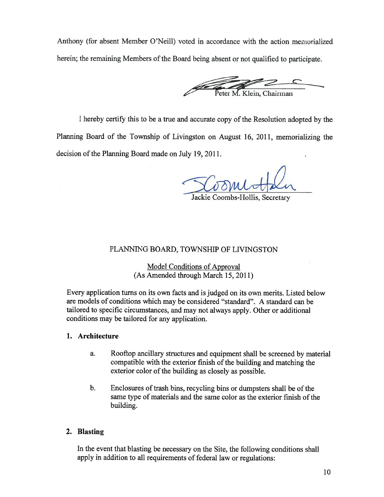Anthony (for absent Member O'Neill) voted in accordance with the action memorialized herein; the remaining Members of the Board being absent or not qualified to participate.

Peter M. Klein, Chairman

<sup>I</sup> hereby certify this to be <sup>a</sup> true and accurate copy of the Resolution adopted by the Planning Board of the Township of Livingston on August 16, 2011, memorializing the decision of the Planning Board made on July 19, 2011.

Jackie Coombs-Hollis, Secretary

# PLANNING BOARD, TOWNSHIP OF LIVINGSTON

Model Conditions of Approval (As Amended through March 15, 2011)

Every application turns on its own facts and is judged on its own merits. Listed below are models of conditions which may be considered "standard". A standard can be tailored to specific circumstances, and may not always apply. Other or additional conditions may be tailored for any application.

### 1. Architecture

- a. Rooftop ancillary structures and equipment shall be screened by material compatible with the exterior finish of the building and matching the exterior color of the building as closely as possible.
- b. Enclosures of trash bins, recycling bins or dumpsters shall be of the same type of materials and the same color as the exterior finish of the building.

# 2. Blasting

In the event that blasting be necessary on the Site, the following conditions shall apply in addition to all requirements of federal law or regulations: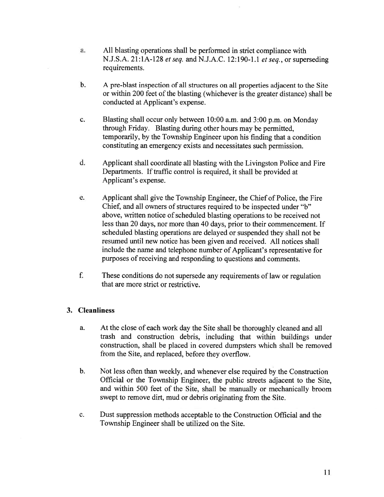- a. All blasting operations shall be performed in strict compliance with N.J.S.A. 21:1A-128 *et seq.* and N.J.A.C. 12:190-1.1 *et seq.*, or superseding requirements.
- b. A pre-blast inspection of all structures on all properties adjacent to the Site or within 200 feet of the blasting (whichever is the greater distance) shall be conducted at Applicant's expense.
- c. Blasting shall occur only between 10:00 a.m. and 3:00 p.m. on Monday through Friday. Blasting during other hours may be permitted, temporarily, by the Township Engineer upon his finding that <sup>a</sup> condition constituting an emergency exists and necessitates such permission.
- d. Applicant shall coordinate all blasting with the Livingston Police and Fire Departments. If traffic control is required, it shall be provided at Applicant's expense.
- e. Applicant shall give the Township Engineer, the Chief of Police, the Fire Chief, and all owners of structures required to be inspected under "b" above, written notice of scheduled blasting operations to be received not less than 20 days, nor more than 40 days, prior to their commencement. If scheduled blasting operations are delayed or suspended they shall not be resumed until new notice has been <sup>g</sup>iven and received. All notices shall include the name and telephone number of Applicant's representative for purposes of receiving and responding to questions and comments.
- f. These conditions do not supersede any requirements oflaw or regulation that are more strict or restrictive.

# 3. Cleanliness

- a. At the close of each work day the Site shall be thoroughly cleaned and all trash and construction debris, including that within buildings under construction, shall be <sup>p</sup>laced in covered dumpsters which shall be removed from the Site, and replaced, before they overflow.
- b. Not less often than weekly, and whenever else required by the Construction Official or the Township Engineer, the public streets adjacent to the Site, and within 500 feet of the Site, shall be manually or mechanically broom swep<sup>t</sup> to remove dirt, mud or debris originating from the Site.
- c. Dust suppression methods acceptable to the Construction Official and the Township Engineer shall be utilized on the Site.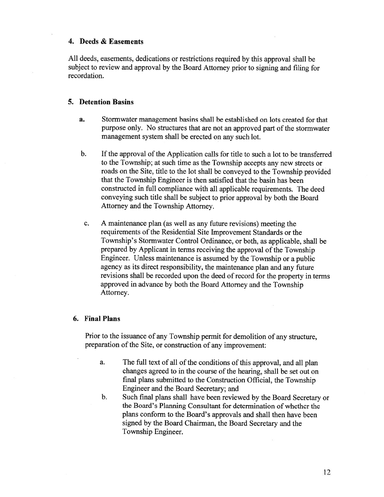### 4. Deeds & Easements

All deeds, easements, dedications or restrictions required by this approva<sup>l</sup> shall be subject to review and approva<sup>l</sup> by the Board Attorney prior to signing and filing for recordation.

### 5. Detention Basins

- a. Stormwater managemen<sup>t</sup> basins shall be established on lots created for that purpose only. No structures that are not an approved part of the stormwater managemen<sup>t</sup> system shall be erected on any such lot.
- b. If the approval of the Application calls for title to such a lot to be transferred to the Township; at such time as the Township accepts any new streets or roads on the Site, title to the lot shall be conveye<sup>d</sup> to the Township provided that the Township Engineer is then satisfied that the basin has been constructed in full compliance with all applicable requirements. The deed conveying such title shall be subject to prior approva<sup>l</sup> by both the Board Attorney and the Township Attorney.
- c. <sup>A</sup> maintenance <sup>p</sup>lan (as well as any future revisions) meeting the requirements of the Residential Site Improvement Standards or the Township's Stormwater Control Ordinance, or both, as applicable, shall be prepare<sup>d</sup> by Applicant in terms receiving the approva<sup>l</sup> of the Township Engineer. Unless maintenance is assumed by the Township or <sup>a</sup> public agency as its direct responsibility, the maintenance <sup>p</sup>lan and any future revisions shall be recorded upon the deed of record for the property in terms approve<sup>d</sup> in advance by both the Board Attorney and the Township Attorney.

#### 6. Final Plans

Prior to the issuance of any Township permit for demolition of any structure, preparation of the Site, or construction of any improvement:

- a. The full text of all of the conditions of this approval, and all plan changes agreed to in the course of the hearing, shall be set out on final plans submitted to the Construction Official, the Township Engineer and the Board Secretary; and
- b. Such final <sup>p</sup>lans shall have been reviewed by the Board Secretary or the Board's Planning Consultant for determination of whether the plans conform to the Board's approvals and shall then have been signed by the Board Chairman, the Board Secretary and the Township Engineer.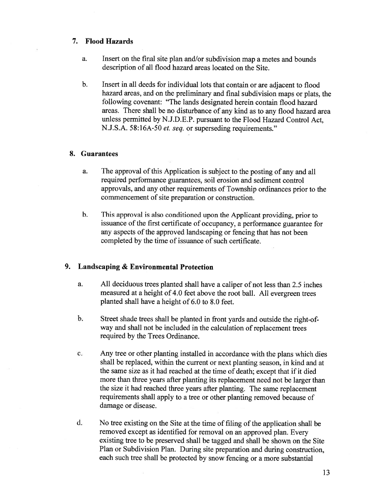### 7. Flood Hazards

- a. Insert on the final site plan and/or subdivision map <sup>a</sup> metes and bounds description of all flood hazard areas located on the Site.
- b. Insert in all deeds for individual lots that contain or are adjacent to flood hazard areas, and on the preliminary and final subdivision maps or <sup>p</sup>lats, the following covenant: "The lands designated herein contain flood hazard areas. There shall be no disturbance of any kind as to any flood hazard area unless permitted by N.J.D.E.P. pursuan<sup>t</sup> to the Flood Hazard Control Act, N.J.S.A. 58:16A-50 et. seq. or superseding requirements."

### 8. Guarantees

- a. The approval of this Application is subject to the posting of any and all required performance guarantees, soil erosion and sediment control approvals, and any other requirements of Township ordinances prior to the commencement of site preparation or construction.
- b. This approva<sup>l</sup> is also conditioned upon the Applicant providing, prior to issuance of the first certificate of occupancy, <sup>a</sup> performance guarantee for any aspects of the approved landscaping or fencing that has not been completed by the time of issuance of such certificate.

# 9. Landscaping & Environmental Protection

- a. All deciduous trees <sup>p</sup>lanted shall have <sup>a</sup> caliper of not less than 2.5 inches measured at <sup>a</sup> height of 4.0 feet above the root ball. All evergreen trees planted shall have <sup>a</sup> height of 6.0 to 8.0 feet.
- b. Street shade trees shall be <sup>p</sup>lanted in front yards and outside the right-ofway and shall not be included in the calculation of replacement trees required by the Trees Ordinance.
- c. Any tree or other <sup>p</sup>lanting installed in accordance with the <sup>p</sup>lans which dies shall be replaced, within the current or next <sup>p</sup>lanting season, in kind and at the same size as it had reached at the time of death; excep<sup>t</sup> that if it died more than three years after <sup>p</sup>lanting its replacement need not be larger than the size it had reached three years after <sup>p</sup>lanting. The same replacement requirements shall apply to <sup>a</sup> tree or other <sup>p</sup>lanting removed because of damage or disease.
- d. No tree existing on the Site at the time of filing of the application shall be removed excep<sup>t</sup> as identified for removal on an approve<sup>d</sup> <sup>p</sup>lan. Every existing tree to be preserved shall be tagged and shall be shown on the Site Plan or Subdivision Plan. During site preparation and during construction, each such tree shall be protected by snow fencing or <sup>a</sup> more substantial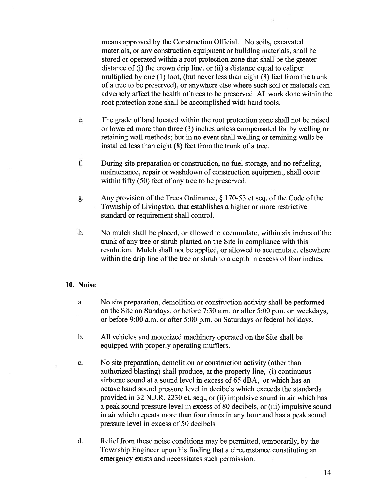means approved by the Construction Official. No soils, excavated materials, or any construction equipment or building materials, shall be stored or operated within <sup>a</sup> root protection zone that shall be the greater distance of (i) the crown drip line, or (ii) <sup>a</sup> distance equal to caliper multiplied by one (1) foot, (but never less than eight (8) feet from the trunk of <sup>a</sup> tree to be preserved), or anywhere else where such soil or materials can adversely affect the health of trees to be preserved. All work done within the root protection zone shall be accomplished with hand tools.

- e. The grade of land located within the root protection zone shall not be raised or lowered more than three (3) inches unless compensated for by welling or retaining wall methods; but in no event shall welling or retaining walls be installed less than eight (8) feet from the trunk of <sup>a</sup> tree.
- f. During site preparation or construction, no fuel storage, and no refueling, maintenance, repair or washdown of construction equipment, shall occur within fifty (50) feet of any tree to be preserved.
- g. Any provision of the Trees Ordinance,  $\S 170-53$  et seq. of the Code of the Township of Livingston, that establishes <sup>a</sup> higher or more restrictive standard or requirement shall control.
- h. No mulch shall be placed, or allowed to accumulate, within six inches of the trunk of any tree or shrub planted on the Site in compliance with this resolution. Mulch shall not be applied, or allowed to accumulate, elsewhere within the drip line of the tree or shrub to a depth in excess of four inches.

#### 10. Noise

- a. No site preparation, demolition or construction activity shall be performed on the Site on Sundays, or before 7:30 a.m. or after 5:00 p.m. on weekdays, or before 9:00 a.m. or after 5:00 p.m. on Saturdays or federal holidays.
- b. All vehicles and motorized machinery operated on the Site shall be equipped with properly operating mufflers.
- c. No site preparation, demolition or construction activity (other than authorized blasting) shall produce, at the property line, (i) continuous airborne sound at <sup>a</sup> sound level in excess of 65 dBA, or which has an octave band sound pressure level in decibels which exceeds the standards provided in 32 N.J.R. 2230 et. seq., or (ii) impulsive sound in air which has <sup>a</sup> peak sound pressure level in excess of 80 decibels, or (iii) impulsive sound in air which repeats more than four times in any hour and has <sup>a</sup> peak sound pressure level in excess of 50 decibels.
- d. Relief from these noise conditions may be permitted, temporarily, by the Township Engineer upon his finding that <sup>a</sup> circumstance constituting an emergency exists and necessitates such permission.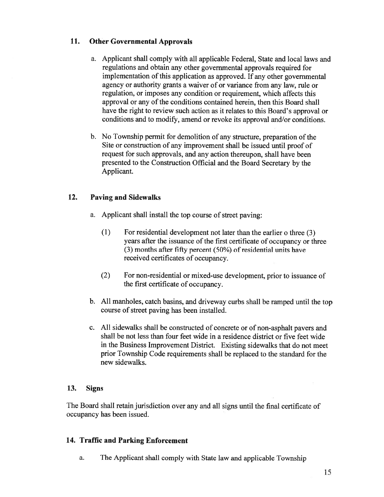# 11. Other Governmental Approvals

- a. Applicant shall comply with all applicable Federal, State and local laws and regulations and obtain any other governmental approvals required for implementation of this application as approved. If any other governmental agency or authority grants <sup>a</sup> waiver of or variance from any law, rule or regulation, or imposes any condition or requirement, which affects this approval or any of the conditions contained herein, then this Board shall have the right to review such action as it relates to this Board's approval or conditions and to modify, amend or revoke its approval and/or conditions.
- b. No Township permit for demolition of any structure, preparation of the Site or construction of any improvement shall be issued until proo<sup>f</sup> of reques<sup>t</sup> for such approvals, and any action thereupon, shall have been presented to the Construction Official and the Board Secretary by the Applicant.

# 12. Paving and Sidewalks

- a. Applicant shall install the top course of street paving:
	- (1) For residential development not later than the earlier <sup>o</sup> three (3) years after the issuance of the first certificate of occupancy or three (3) months after fifty percent  $(50\%)$  of residential units have received certificates of occupancy.
	- (2) For non-residential or mixed-use development, prior to issuance of the first certificate of occupancy.
- b. All manholes, catch basins, and driveway curbs shall be rampe<sup>d</sup> until the top course of street paving has been installed.
- c. All sidewalks shall be constructed of concrete or of non-asphalt payers and shall be not less than four feet wide in <sup>a</sup> residence district or five feet wide in the Business Improvement District. Existing sidewalks that do not meet prior Township Code requirements shall be replaced to the standard for the new sidewalks.

# 13. Signs

The Board shall retain jurisdiction over any and all signs until the final certificate of occupancy has been issued.

# 14. Traffic and Parking Enforcement

a. The Applicant shall comply with State law and applicable Township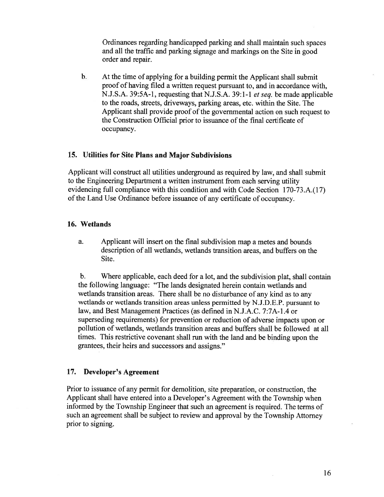Ordinances regarding handicapped parking and shall maintain such spaces and all the traffic and parking signage and markings on the Site in good order and repair.

b. At the time of applying for <sup>a</sup> building permit the Applicant shall submit proof of having filed <sup>a</sup> written reques<sup>t</sup> pursuan<sup>t</sup> to, and in accordance with, N.J.S.A. 39:5A-1, requesting that N.J.S.A. 39:1-1 et seq. be made applicable to the roads, streets, driveways, parking areas, etc. within the Site. The Applicant shall provide proof of the governmental action on such reques<sup>t</sup> to the Construction Official prior to issuance of the final certificate of occupancy.

### 15. Utilities for Site Plans and Major Subdivisions

Applicant will construct all utilities underground as required by law, and shall submit to the Engineering Department <sup>a</sup> written instrument from each serving utility evidencing full compliance with this condition and with Code Section 170-73 .A.( 17) of the Land Use Ordinance before issuance of any certificate of occupancy.

#### 16. Wetlands

a. Applicant will insert on the final subdivision map <sup>a</sup> metes and bounds description of all wetlands, wetlands transition areas, and buffers on the Site.

b. Where applicable, each deed for <sup>a</sup> lot, and the subdivision <sup>p</sup>lat, shall contain the following language: "The lands designated herein contain wetlands and wetlands transition areas. There shall be no disturbance of any kind as to any wetlands or wetlands transition areas unless permitted by N.J.D.E.P. pursuan<sup>t</sup> to law, and Best Management Practices (as defined in N.J.A.C. 7:7A-1.4 or superseding requirements) for prevention or reduction of adverse impacts upon or pollution of wetlands, wetlands transition areas and buffers shall be followed at all times. This restrictive covenant shall run with the land and be binding upon the grantees, their heirs and successors and assigns."

#### 17. Developer's Agreement

Prior to issuance of any permit for demolition, site preparation, or construction, the Applicant shall have entered into <sup>a</sup> Developer's Agreement with the Township when informed by the Township Engineer that such an agreemen<sup>t</sup> is required. The terms of such an agreemen<sup>t</sup> shall be subject to review and approva<sup>l</sup> by the Township Attorney prior to signing.